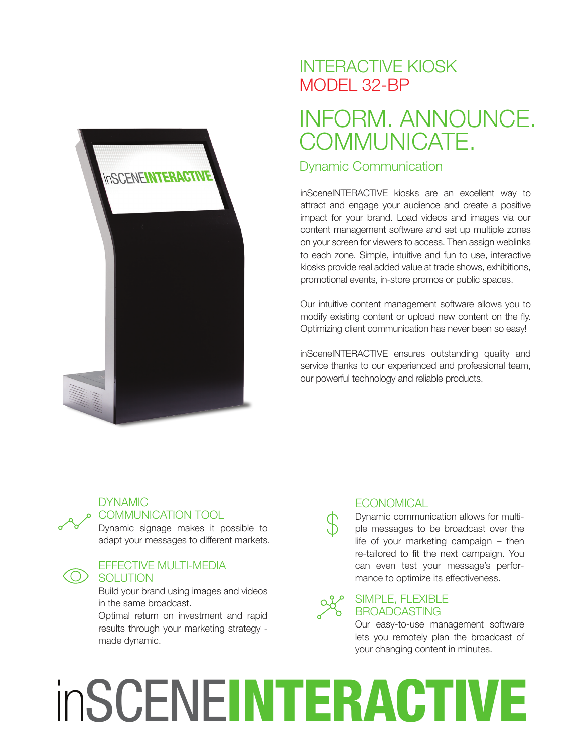

### INTERACTIVE KIOSK MODEL 32-BP

## INFORM. ANNOUNCE. COMMUNICATE.

#### Dynamic Communication

inSceneINTERACTIVE kiosks are an excellent way to attract and engage your audience and create a positive impact for your brand. Load videos and images via our content management software and set up multiple zones on your screen for viewers to access. Then assign weblinks to each zone. Simple, intuitive and fun to use, interactive kiosks provide real added value at trade shows, exhibitions, promotional events, in-store promos or public spaces.

Our intuitive content management software allows you to modify existing content or upload new content on the fly. Optimizing client communication has never been so easy!

inSceneINTERACTIVE ensures outstanding quality and service thanks to our experienced and professional team, our powerful technology and reliable products.



#### **DYNAMIC** COMMUNICATION TOOL

Dynamic signage makes it possible to adapt your messages to different markets.

#### EFFECTIVE MULTI-MEDIA **SOLUTION**

Build your brand using images and videos in the same broadcast.

Optimal return on investment and rapid results through your marketing strategy made dynamic.

#### **ECONOMICAL**

Dynamic communication allows for multiple messages to be broadcast over the life of your marketing campaign – then re-tailored to fit the next campaign. You can even test your message's performance to optimize its effectiveness.

#### SIMPLE, FLEXIBLE BROADCASTING

Our easy-to-use management software lets you remotely plan the broadcast of your changing content in minutes.

# inSCENEINTERACTIVE